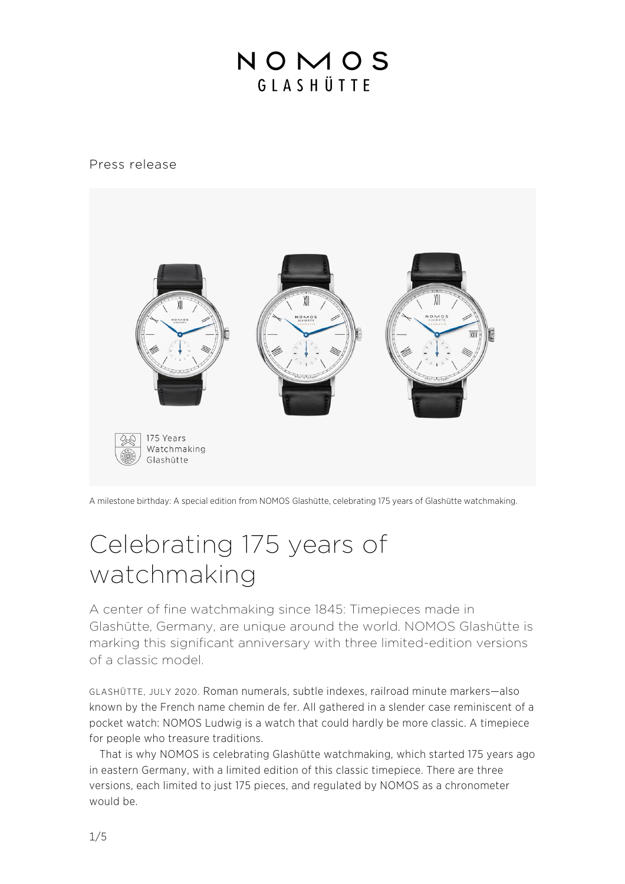### NOMOS GIASHÜTTE

#### Press release



A milestone birthday: A special edition from NOMOS Glashütte, celebrating 175 years of Glashütte watchmaking.

# Celebrating 175 years of watchmaking

A center of fine watchmaking since 1845: Timepieces made in Glashütte, Germany, are unique around the world. NOMOS Glashütte is marking this significant anniversary with three limited-edition versions of a classic model.

GLASHÜTTE, JULY 2020. Roman numerals, subtle indexes, railroad minute markers—also known by the French name chemin de fer. All gathered in a slender case reminiscent of a pocket watch: NOMOS Ludwig is a watch that could hardly be more classic. A timepiece for people who treasure traditions.

That is why NOMOS is celebrating Glashütte watchmaking, which started 175 years ago in eastern Germany, with a limited edition of this classic timepiece. There are three versions, each limited to just 175 pieces, and regulated by NOMOS as a chronometer would be.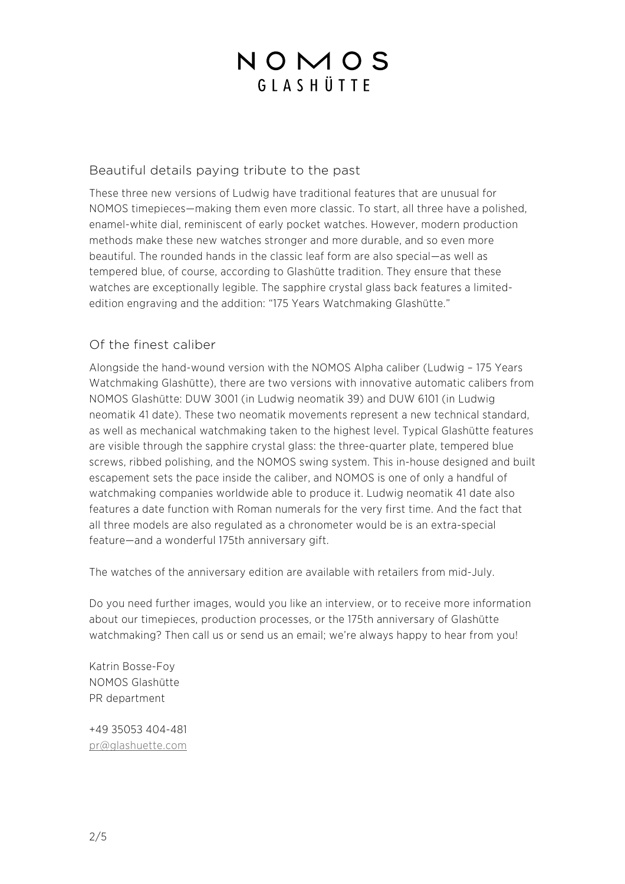# NOMOS GIASHÜTTE

#### Beautiful details paying tribute to the past

These three new versions of Ludwig have traditional features that are unusual for NOMOS timepieces—making them even more classic. To start, all three have a polished, enamel-white dial, reminiscent of early pocket watches. However, modern production methods make these new watches stronger and more durable, and so even more beautiful. The rounded hands in the classic leaf form are also special—as well as tempered blue, of course, according to Glashütte tradition. They ensure that these watches are exceptionally legible. The sapphire crystal glass back features a limitededition engraving and the addition: "175 Years Watchmaking Glashütte."

#### Of the finest caliber

Alongside the hand-wound version with the NOMOS Alpha caliber (Ludwig – 175 Years Watchmaking Glashütte), there are two versions with innovative automatic calibers from NOMOS Glashütte: DUW 3001 (in Ludwig neomatik 39) and DUW 6101 (in Ludwig neomatik 41 date). These two neomatik movements represent a new technical standard, as well as mechanical watchmaking taken to the highest level. Typical Glashütte features are visible through the sapphire crystal glass: the three-quarter plate, tempered blue screws, ribbed polishing, and the NOMOS swing system. This in-house designed and built escapement sets the pace inside the caliber, and NOMOS is one of only a handful of watchmaking companies worldwide able to produce it. Ludwig neomatik 41 date also features a date function with Roman numerals for the very first time. And the fact that all three models are also regulated as a chronometer would be is an extra-special feature—and a wonderful 175th anniversary gift.

The watches of the anniversary edition are available with retailers from mid-July.

Do you need further images, would you like an interview, or to receive more information about our timepieces, production processes, or the 175th anniversary of Glashütte watchmaking? Then call us or send us an email; we're always happy to hear from you!

Katrin Bosse-Foy NOMOS Glashütte PR department

+49 35053 404-481 pr@glashuette.com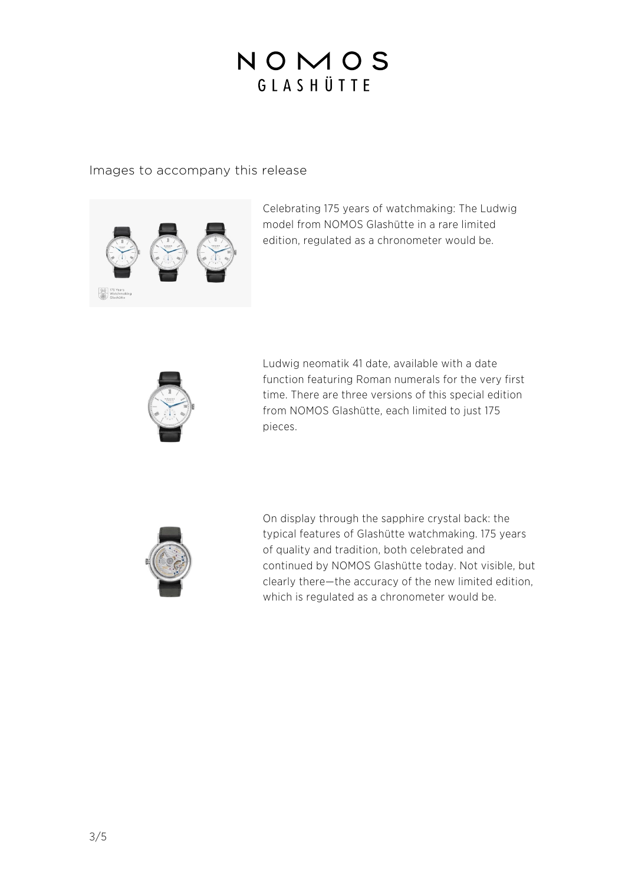# NOMOS GLASHÜTTE

#### Images to accompany this release



Celebrating 175 years of watchmaking: The Ludwig model from NOMOS Glashütte in a rare limited edition, regulated as a chronometer would be.



Ludwig neomatik 41 date, available with a date function featuring Roman numerals for the very first time. There are three versions of this special edition from NOMOS Glashütte, each limited to just 175 pieces.



On display through the sapphire crystal back: the typical features of Glashütte watchmaking. 175 years of quality and tradition, both celebrated and continued by NOMOS Glashütte today. Not visible, but clearly there—the accuracy of the new limited edition, which is regulated as a chronometer would be.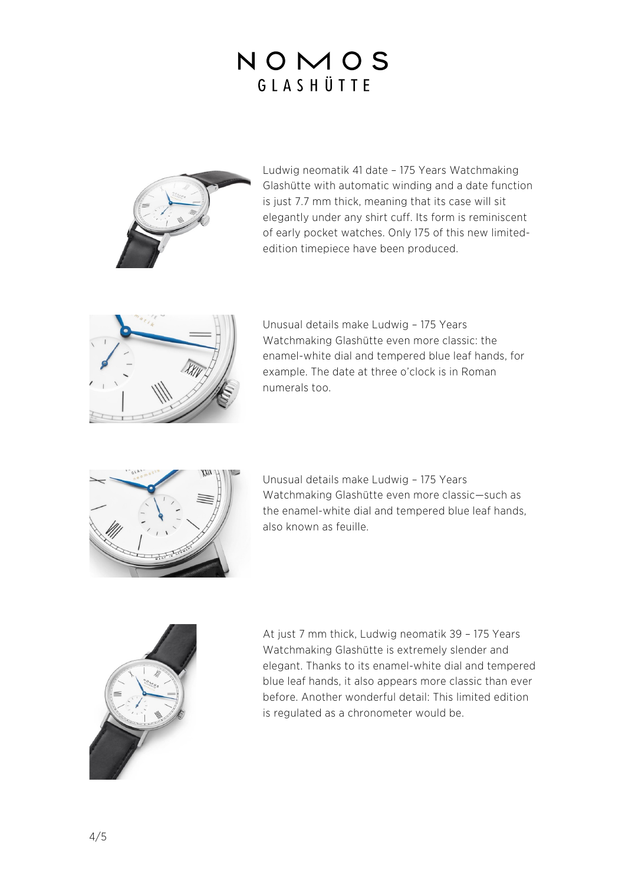# NOMOS GIASHÜTTE



Ludwig neomatik 41 date – 175 Years Watchmaking Glashütte with automatic winding and a date function is just 7.7 mm thick, meaning that its case will sit elegantly under any shirt cuff. Its form is reminiscent of early pocket watches. Only 175 of this new limitededition timepiece have been produced.



Unusual details make Ludwig – 175 Years Watchmaking Glashütte even more classic: the enamel-white dial and tempered blue leaf hands, for example. The date at three o'clock is in Roman numerals too.



Unusual details make Ludwig – 175 Years Watchmaking Glashütte even more classic—such as the enamel-white dial and tempered blue leaf hands, also known as feuille.



At just 7 mm thick, Ludwig neomatik 39 – 175 Years Watchmaking Glashütte is extremely slender and elegant. Thanks to its enamel-white dial and tempered blue leaf hands, it also appears more classic than ever before. Another wonderful detail: This limited edition is regulated as a chronometer would be.